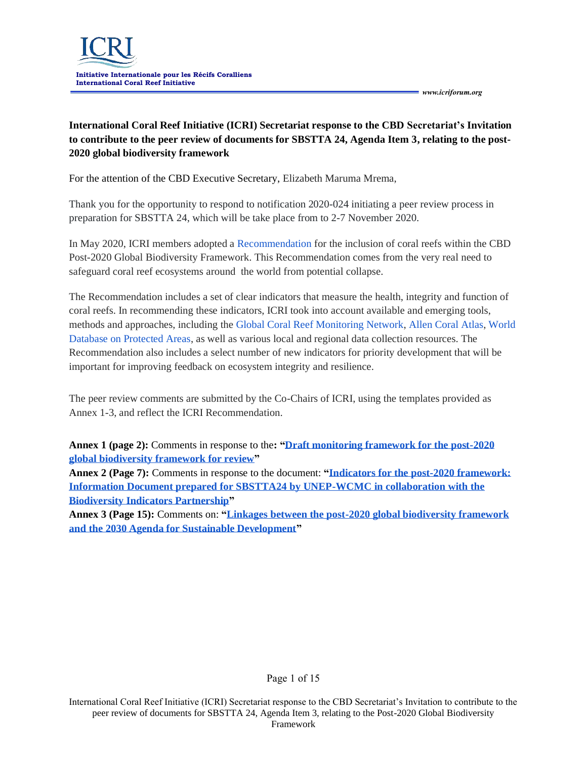

*www.icriforum.org* 

### **International Coral Reef Initiative (ICRI) Secretariat response to the CBD Secretariat's Invitation to contribute to the peer review of documents for SBSTTA 24, Agenda Item 3, relating to the post-2020 global biodiversity framework**

For the attention of the CBD Executive Secretary, Elizabeth Maruma Mrema,

Thank you for the opportunity to respond to notification 2020-024 initiating a peer review process in preparation for SBSTTA 24, which will be take place from to 2-7 November 2020.

In May 2020, ICRI members adopted a [Recommendation](https://www.icriforum.org/wp-content/uploads/2020/05/ICRI-recommendation-Post2020-FINAL.pdf) for the inclusion of coral reefs within the CBD Post-2020 Global Biodiversity Framework. This Recommendation comes from the very real need to safeguard coral reef ecosystems around the world from potential collapse.

The Recommendation includes a set of clear indicators that measure the health, integrity and function of coral reefs. In recommending these indicators, ICRI took into account available and emerging tools, methods and approaches, including the [Global Coral Reef Monitoring Network,](https://gcrmn.net/) [Allen Coral Atlas,](https://allencoralatlas.org/) [World](https://www.protectedplanet.net/c/world-database-on-protected-areas)  [Database on Protected Areas,](https://www.protectedplanet.net/c/world-database-on-protected-areas) as well as various local and regional data collection resources. The Recommendation also includes a select number of new indicators for priority development that will be important for improving feedback on ecosystem integrity and resilience.

The peer review comments are submitted by the Co-Chairs of ICRI, using the templates provided as Annex 1-3, and reflect the ICRI Recommendation.

**Annex 1 (page 2):** Comments in response to the**: ["Draft monitoring framework for the post-2020](https://www.cbd.int/sbstta/sbstta-24/post2020-monitoring-en.pdf)  [global biodiversity framework for review"](https://www.cbd.int/sbstta/sbstta-24/post2020-monitoring-en.pdf)**

**Annex 2 (Page 7):** Comments in response to the document: **["Indicators for the post-2020 framework:](https://www.cbd.int/sbstta/sbstta-24/post2020-indicators-en.pdf)  [Information Document prepared for SBSTTA24 by UNEP-WCMC in collaboration with the](https://www.cbd.int/sbstta/sbstta-24/post2020-indicators-en.pdf)  [Biodiversity Indicators Partnership"](https://www.cbd.int/sbstta/sbstta-24/post2020-indicators-en.pdf)** 

**Annex 3 (Page 15):** Comments on: **["Linkages between the post-2020 global biodiversity framework](https://www.cbd.int/sbstta/sbstta-24/post-2020-sdg-linkages-en.pdf)  [and the 2030 Agenda for Sustainable Development"](https://www.cbd.int/sbstta/sbstta-24/post-2020-sdg-linkages-en.pdf)**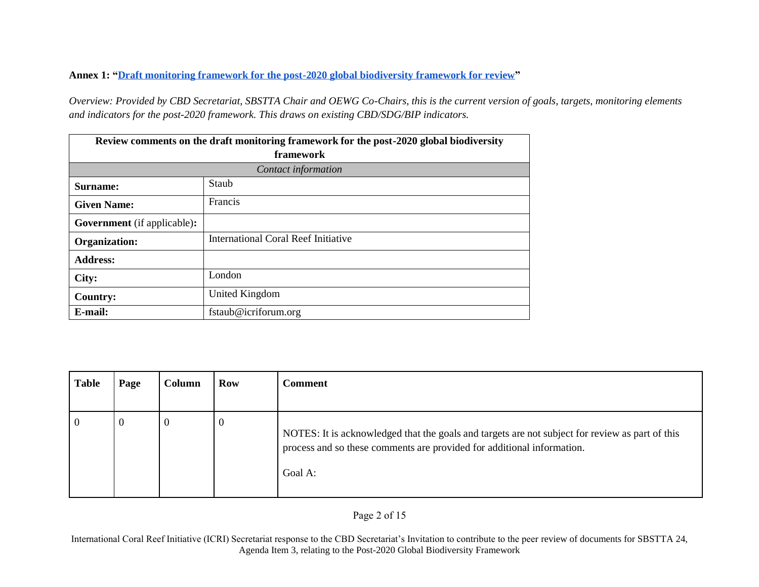#### **Annex 1: ["Draft monitoring framework for the post-2020 global biodiversity framework for review"](https://www.cbd.int/sbstta/sbstta-24/post2020-monitoring-en.pdf)**

*Overview: Provided by CBD Secretariat, SBSTTA Chair and OEWG Co-Chairs, this is the current version of goals, targets, monitoring elements and indicators for the post-2020 framework. This draws on existing CBD/SDG/BIP indicators.*

|                                    | Review comments on the draft monitoring framework for the post-2020 global biodiversity |  |  |  |  |  |  |  |  |  |
|------------------------------------|-----------------------------------------------------------------------------------------|--|--|--|--|--|--|--|--|--|
| framework                          |                                                                                         |  |  |  |  |  |  |  |  |  |
|                                    | Contact information                                                                     |  |  |  |  |  |  |  |  |  |
| Surname:                           | Staub                                                                                   |  |  |  |  |  |  |  |  |  |
| <b>Given Name:</b>                 | Francis                                                                                 |  |  |  |  |  |  |  |  |  |
| <b>Government</b> (if applicable): |                                                                                         |  |  |  |  |  |  |  |  |  |
| Organization:                      | International Coral Reef Initiative                                                     |  |  |  |  |  |  |  |  |  |
| <b>Address:</b>                    |                                                                                         |  |  |  |  |  |  |  |  |  |
| City:                              | London                                                                                  |  |  |  |  |  |  |  |  |  |
| <b>Country:</b>                    | United Kingdom                                                                          |  |  |  |  |  |  |  |  |  |
| E-mail:                            | fstaub@icriforum.org                                                                    |  |  |  |  |  |  |  |  |  |

| <b>Table</b> | Page     | Column | <b>Row</b> | <b>Comment</b>                                                                                                                                                                       |
|--------------|----------|--------|------------|--------------------------------------------------------------------------------------------------------------------------------------------------------------------------------------|
| $\theta$     | $\theta$ | 0      | v          | NOTES: It is acknowledged that the goals and targets are not subject for review as part of this<br>process and so these comments are provided for additional information.<br>Goal A: |

Page 2 of 15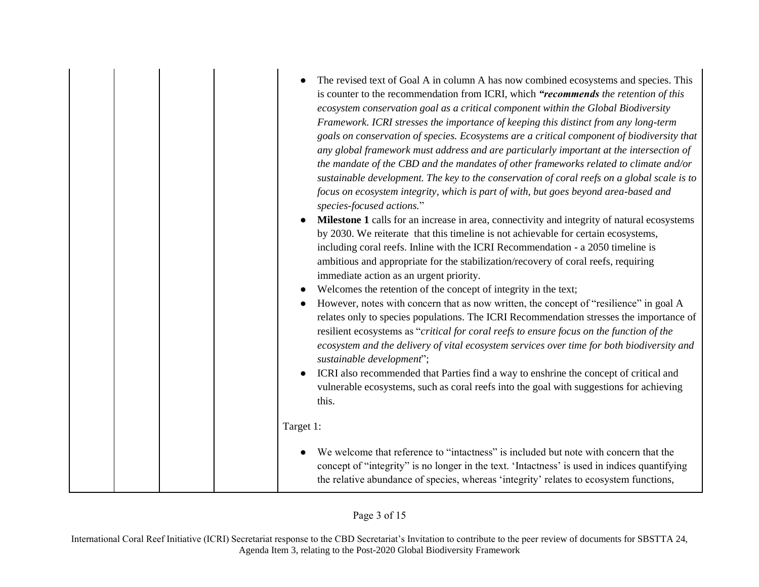|  |  | The revised text of Goal A in column A has now combined ecosystems and species. This<br>is counter to the recommendation from ICRI, which "recommends the retention of this<br>ecosystem conservation goal as a critical component within the Global Biodiversity<br>Framework. ICRI stresses the importance of keeping this distinct from any long-term<br>goals on conservation of species. Ecosystems are a critical component of biodiversity that<br>any global framework must address and are particularly important at the intersection of<br>the mandate of the CBD and the mandates of other frameworks related to climate and/or<br>sustainable development. The key to the conservation of coral reefs on a global scale is to<br>focus on ecosystem integrity, which is part of with, but goes beyond area-based and<br>species-focused actions."<br>Milestone 1 calls for an increase in area, connectivity and integrity of natural ecosystems<br>by 2030. We reiterate that this timeline is not achievable for certain ecosystems,<br>including coral reefs. Inline with the ICRI Recommendation - a 2050 timeline is<br>ambitious and appropriate for the stabilization/recovery of coral reefs, requiring<br>immediate action as an urgent priority.<br>Welcomes the retention of the concept of integrity in the text;<br>However, notes with concern that as now written, the concept of "resilience" in goal A<br>relates only to species populations. The ICRI Recommendation stresses the importance of<br>resilient ecosystems as "critical for coral reefs to ensure focus on the function of the<br>ecosystem and the delivery of vital ecosystem services over time for both biodiversity and<br>sustainable development";<br>ICRI also recommended that Parties find a way to enshrine the concept of critical and<br>vulnerable ecosystems, such as coral reefs into the goal with suggestions for achieving<br>this. |
|--|--|----------------------------------------------------------------------------------------------------------------------------------------------------------------------------------------------------------------------------------------------------------------------------------------------------------------------------------------------------------------------------------------------------------------------------------------------------------------------------------------------------------------------------------------------------------------------------------------------------------------------------------------------------------------------------------------------------------------------------------------------------------------------------------------------------------------------------------------------------------------------------------------------------------------------------------------------------------------------------------------------------------------------------------------------------------------------------------------------------------------------------------------------------------------------------------------------------------------------------------------------------------------------------------------------------------------------------------------------------------------------------------------------------------------------------------------------------------------------------------------------------------------------------------------------------------------------------------------------------------------------------------------------------------------------------------------------------------------------------------------------------------------------------------------------------------------------------------------------------------------------------------------------------------------------------------------------------|
|  |  | Target 1:                                                                                                                                                                                                                                                                                                                                                                                                                                                                                                                                                                                                                                                                                                                                                                                                                                                                                                                                                                                                                                                                                                                                                                                                                                                                                                                                                                                                                                                                                                                                                                                                                                                                                                                                                                                                                                                                                                                                          |
|  |  | We welcome that reference to "intactness" is included but note with concern that the<br>concept of "integrity" is no longer in the text. 'Intactness' is used in indices quantifying<br>the relative abundance of species, whereas 'integrity' relates to ecosystem functions,                                                                                                                                                                                                                                                                                                                                                                                                                                                                                                                                                                                                                                                                                                                                                                                                                                                                                                                                                                                                                                                                                                                                                                                                                                                                                                                                                                                                                                                                                                                                                                                                                                                                     |

## Page 3 of 15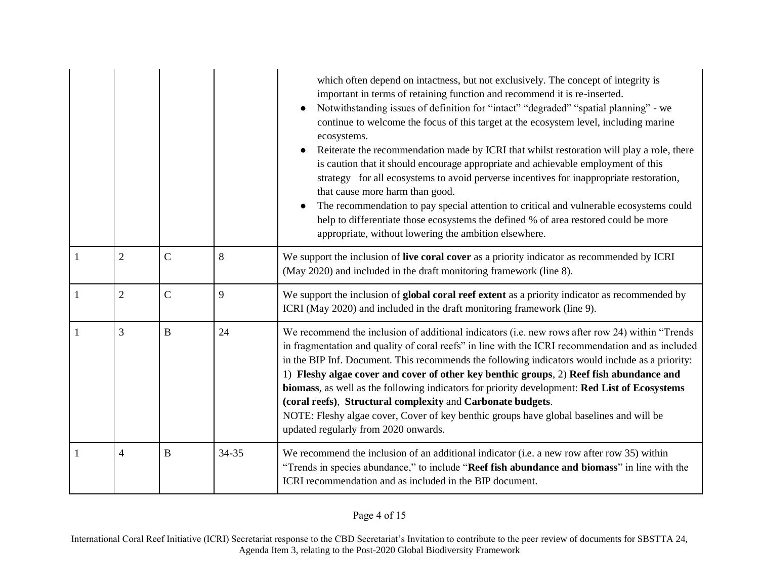|              |                |              |       | which often depend on intactness, but not exclusively. The concept of integrity is<br>important in terms of retaining function and recommend it is re-inserted.<br>Notwithstanding issues of definition for "intact" "degraded" "spatial planning" - we<br>$\bullet$<br>continue to welcome the focus of this target at the ecosystem level, including marine<br>ecosystems.<br>Reiterate the recommendation made by ICRI that whilst restoration will play a role, there<br>is caution that it should encourage appropriate and achievable employment of this<br>strategy for all ecosystems to avoid perverse incentives for inappropriate restoration,<br>that cause more harm than good.<br>The recommendation to pay special attention to critical and vulnerable ecosystems could<br>help to differentiate those ecosystems the defined % of area restored could be more<br>appropriate, without lowering the ambition elsewhere. |
|--------------|----------------|--------------|-------|-----------------------------------------------------------------------------------------------------------------------------------------------------------------------------------------------------------------------------------------------------------------------------------------------------------------------------------------------------------------------------------------------------------------------------------------------------------------------------------------------------------------------------------------------------------------------------------------------------------------------------------------------------------------------------------------------------------------------------------------------------------------------------------------------------------------------------------------------------------------------------------------------------------------------------------------|
|              | $\overline{2}$ | $\mathbf C$  | 8     | We support the inclusion of live coral cover as a priority indicator as recommended by ICRI<br>(May 2020) and included in the draft monitoring framework (line 8).                                                                                                                                                                                                                                                                                                                                                                                                                                                                                                                                                                                                                                                                                                                                                                      |
| 1            | $\overline{2}$ | $\mathbf C$  | 9     | We support the inclusion of global coral reef extent as a priority indicator as recommended by<br>ICRI (May 2020) and included in the draft monitoring framework (line 9).                                                                                                                                                                                                                                                                                                                                                                                                                                                                                                                                                                                                                                                                                                                                                              |
| $\mathbf{1}$ | 3              | $\bf{B}$     | 24    | We recommend the inclusion of additional indicators (i.e. new rows after row 24) within "Trends<br>in fragmentation and quality of coral reefs" in line with the ICRI recommendation and as included<br>in the BIP Inf. Document. This recommends the following indicators would include as a priority:<br>1) Fleshy algae cover and cover of other key benthic groups, 2) Reef fish abundance and<br>biomass, as well as the following indicators for priority development: Red List of Ecosystems<br>(coral reefs), Structural complexity and Carbonate budgets.<br>NOTE: Fleshy algae cover, Cover of key benthic groups have global baselines and will be<br>updated regularly from 2020 onwards.                                                                                                                                                                                                                                   |
|              | 4              | $\, {\bf B}$ | 34-35 | We recommend the inclusion of an additional indicator (i.e. a new row after row 35) within<br>"Trends in species abundance," to include "Reef fish abundance and biomass" in line with the<br>ICRI recommendation and as included in the BIP document.                                                                                                                                                                                                                                                                                                                                                                                                                                                                                                                                                                                                                                                                                  |

Page 4 of 15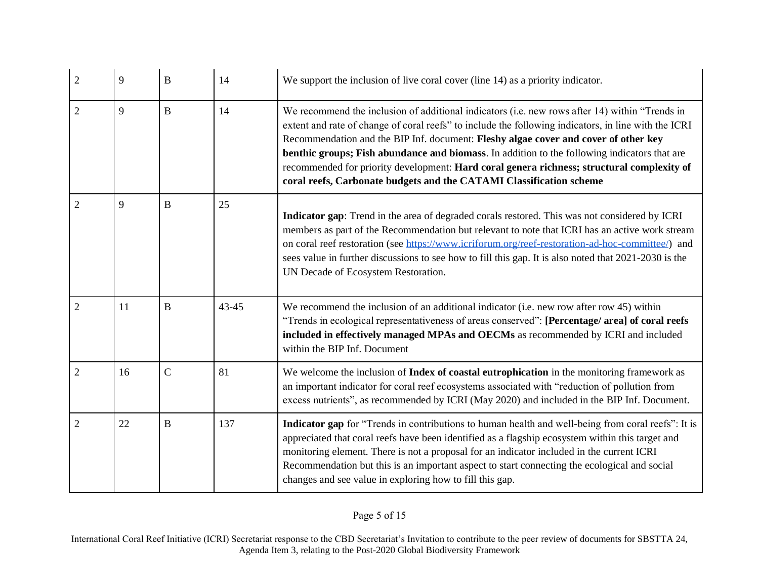| $\overline{2}$ | 9  | $\bf{B}$     | 14    | We support the inclusion of live coral cover (line 14) as a priority indicator.                                                                                                                                                                                                                                                                                                                                                                                                                                                                                    |
|----------------|----|--------------|-------|--------------------------------------------------------------------------------------------------------------------------------------------------------------------------------------------------------------------------------------------------------------------------------------------------------------------------------------------------------------------------------------------------------------------------------------------------------------------------------------------------------------------------------------------------------------------|
| $\overline{2}$ | 9  | $\mathbf{B}$ | 14    | We recommend the inclusion of additional indicators (i.e. new rows after 14) within "Trends in<br>extent and rate of change of coral reefs" to include the following indicators, in line with the ICRI<br>Recommendation and the BIP Inf. document: Fleshy algae cover and cover of other key<br>benthic groups; Fish abundance and biomass. In addition to the following indicators that are<br>recommended for priority development: Hard coral genera richness; structural complexity of<br>coral reefs, Carbonate budgets and the CATAMI Classification scheme |
| $\overline{2}$ | 9  | $\bf{B}$     | 25    | Indicator gap: Trend in the area of degraded corals restored. This was not considered by ICRI<br>members as part of the Recommendation but relevant to note that ICRI has an active work stream<br>on coral reef restoration (see https://www.icriforum.org/reef-restoration-ad-hoc-committee/) and<br>sees value in further discussions to see how to fill this gap. It is also noted that 2021-2030 is the<br>UN Decade of Ecosystem Restoration.                                                                                                                |
| $\overline{2}$ | 11 | B            | 43-45 | We recommend the inclusion of an additional indicator (i.e. new row after row 45) within<br>"Trends in ecological representativeness of areas conserved": [Percentage/ area] of coral reefs<br>included in effectively managed MPAs and OECMs as recommended by ICRI and included<br>within the BIP Inf. Document                                                                                                                                                                                                                                                  |
| $\overline{2}$ | 16 | $\mathbf C$  | 81    | We welcome the inclusion of Index of coastal eutrophication in the monitoring framework as<br>an important indicator for coral reef ecosystems associated with "reduction of pollution from<br>excess nutrients", as recommended by ICRI (May 2020) and included in the BIP Inf. Document.                                                                                                                                                                                                                                                                         |
| $\overline{2}$ | 22 | $\, {\bf B}$ | 137   | Indicator gap for "Trends in contributions to human health and well-being from coral reefs": It is<br>appreciated that coral reefs have been identified as a flagship ecosystem within this target and<br>monitoring element. There is not a proposal for an indicator included in the current ICRI<br>Recommendation but this is an important aspect to start connecting the ecological and social<br>changes and see value in exploring how to fill this gap.                                                                                                    |

Page 5 of 15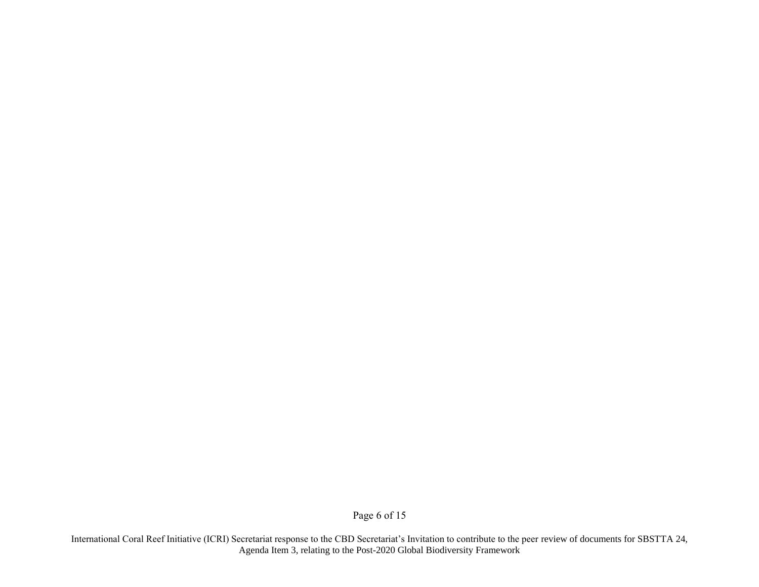Page 6 of 15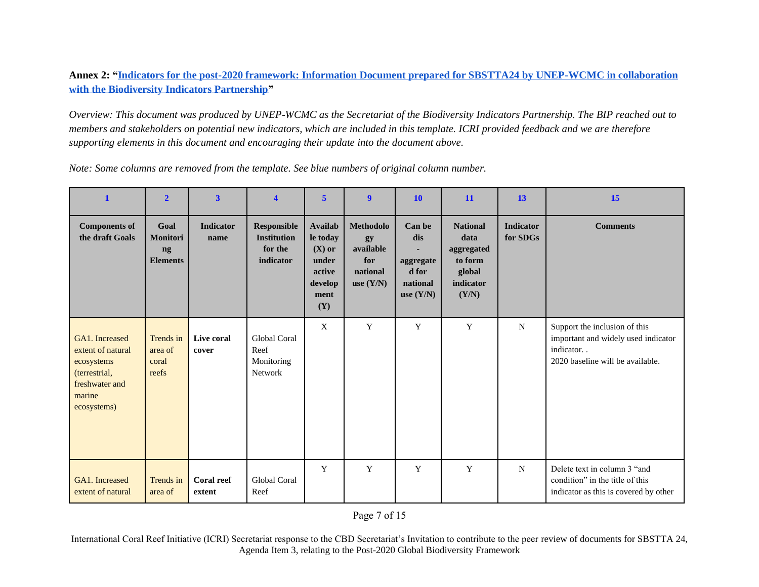**Annex 2: ["Indicators for the post-2020 framework: Information Document prepared for SBSTTA24 by UNEP-WCMC in collaboration](https://www.cbd.int/sbstta/sbstta-24/post2020-indicators-en.pdf)  [with the Biodiversity Indicators Partnership"](https://www.cbd.int/sbstta/sbstta-24/post2020-indicators-en.pdf)** 

*Overview: This document was produced by UNEP-WCMC as the Secretariat of the Biodiversity Indicators Partnership. The BIP reached out to members and stakeholders on potential new indicators, which are included in this template. ICRI provided feedback and we are therefore supporting elements in this document and encouraging their update into the document above.*

**1 2 3 4 5 9 10 11 13 15 Components of the draft Goals Goal Monitori ng Elements Indicator name Responsible Institution for the indicator Availab le today (X) or under active develop ment (Y) Methodolo gy available for national use (Y/N) Can be dis aggregate d for national use (Y/N) National data aggregated to form global indicator (Y/N) Indicator for SDGs Comments** GA1. Increased extent of natural ecosystems (terrestrial, freshwater and marine ecosystems) Trends in area of coral reefs **Live coral cover** Global Coral Reef Monitoring Network X Y Y Y Y N Support the inclusion of this important and widely used indicator indicator. . 2020 baseline will be available. GA1. Increased extent of natural Trends in area of **Coral reef extent** Global Coral Reef Y Y Y Y N Delete text in column 3 "and condition" in the title of this indicator as this is covered by other

*Note: Some columns are removed from the template. See blue numbers of original column number.*

Page 7 of 15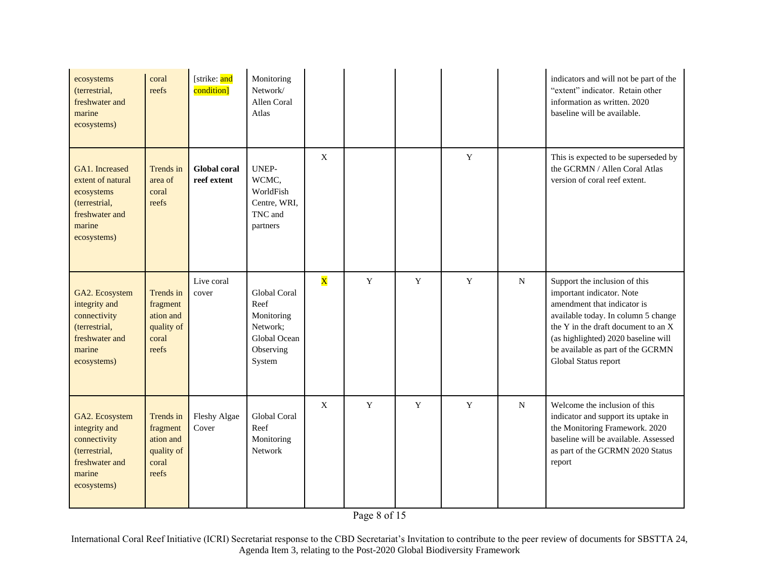| ecosystems<br>(terrestrial,<br>freshwater and<br>marine<br>ecosystems)                                        | coral<br>reefs                                                     | [strike: and<br>condition]         | Monitoring<br>Network/<br>Allen Coral<br>Atlas                                        |                       |             |             |   |           | indicators and will not be part of the<br>"extent" indicator. Retain other<br>information as written. 2020<br>baseline will be available.                                                                                                                                   |
|---------------------------------------------------------------------------------------------------------------|--------------------------------------------------------------------|------------------------------------|---------------------------------------------------------------------------------------|-----------------------|-------------|-------------|---|-----------|-----------------------------------------------------------------------------------------------------------------------------------------------------------------------------------------------------------------------------------------------------------------------------|
| GA1. Increased<br>extent of natural<br>ecosystems<br>(terrestrial,<br>freshwater and<br>marine<br>ecosystems) | Trends in<br>area of<br>coral<br>reefs                             | <b>Global coral</b><br>reef extent | <b>UNEP-</b><br>WCMC,<br>WorldFish<br>Centre, WRI,<br>TNC and<br>partners             | $\mathbf{X}$          |             |             | Y |           | This is expected to be superseded by<br>the GCRMN / Allen Coral Atlas<br>version of coral reef extent.                                                                                                                                                                      |
| GA2. Ecosystem<br>integrity and<br>connectivity<br>(terrestrial,<br>freshwater and<br>marine<br>ecosystems)   | Trends in<br>fragment<br>ation and<br>quality of<br>coral<br>reefs | Live coral<br>cover                | Global Coral<br>Reef<br>Monitoring<br>Network;<br>Global Ocean<br>Observing<br>System | $\overline{\text{X}}$ | $\mathbf Y$ | $\mathbf Y$ | Y | ${\bf N}$ | Support the inclusion of this<br>important indicator. Note<br>amendment that indicator is<br>available today. In column 5 change<br>the Y in the draft document to an X<br>(as highlighted) 2020 baseline will<br>be available as part of the GCRMN<br>Global Status report |
| GA2. Ecosystem<br>integrity and<br>connectivity<br>(terrestrial,<br>freshwater and<br>marine<br>ecosystems)   | Trends in<br>fragment<br>ation and<br>quality of<br>coral<br>reefs | Fleshy Algae<br>Cover              | Global Coral<br>Reef<br>Monitoring<br>Network                                         | $\mathbf X$           | $\mathbf Y$ | Y           | Y | ${\bf N}$ | Welcome the inclusion of this<br>indicator and support its uptake in<br>the Monitoring Framework. 2020<br>baseline will be available. Assessed<br>as part of the GCRMN 2020 Status<br>report                                                                                |

Page 8 of 15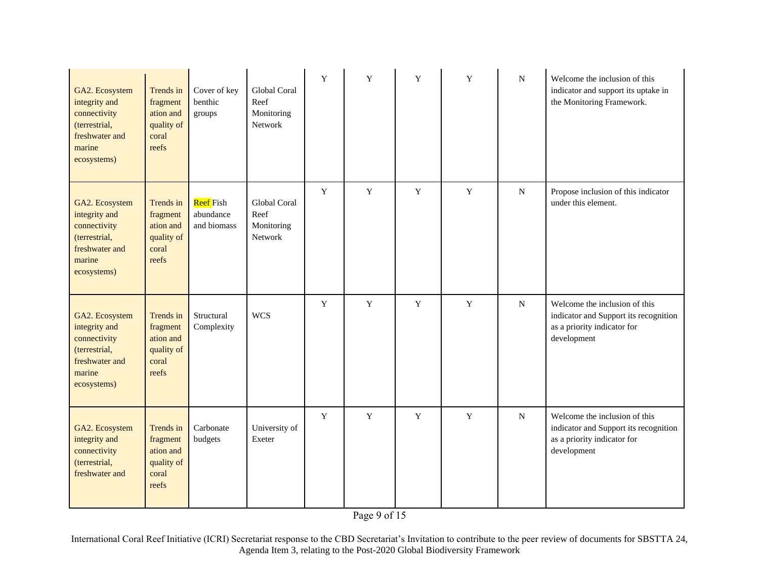| GA2. Ecosystem<br>integrity and<br>connectivity<br>(terrestrial,<br>freshwater and<br>marine<br>ecosystems) | Trends in<br>fragment<br>ation and<br>quality of<br>coral<br>reefs | Cover of key<br>benthic<br>groups     | Global Coral<br>Reef<br>Monitoring<br>Network | $\mathbf Y$ | Y           | Y           | Y           | N         | Welcome the inclusion of this<br>indicator and support its uptake in<br>the Monitoring Framework.                    |
|-------------------------------------------------------------------------------------------------------------|--------------------------------------------------------------------|---------------------------------------|-----------------------------------------------|-------------|-------------|-------------|-------------|-----------|----------------------------------------------------------------------------------------------------------------------|
| GA2. Ecosystem<br>integrity and<br>connectivity<br>(terrestrial,<br>freshwater and<br>marine<br>ecosystems) | Trends in<br>fragment<br>ation and<br>quality of<br>coral<br>reefs | Reef Fish<br>abundance<br>and biomass | Global Coral<br>Reef<br>Monitoring<br>Network | $\mathbf Y$ | $\mathbf Y$ | $\mathbf Y$ | Y           | ${\bf N}$ | Propose inclusion of this indicator<br>under this element.                                                           |
| GA2. Ecosystem<br>integrity and<br>connectivity<br>(terrestrial,<br>freshwater and<br>marine<br>ecosystems) | Trends in<br>fragment<br>ation and<br>quality of<br>coral<br>reefs | Structural<br>Complexity              | <b>WCS</b>                                    | $\mathbf Y$ | $\mathbf Y$ | $\mathbf Y$ | $\mathbf Y$ | ${\bf N}$ | Welcome the inclusion of this<br>indicator and Support its recognition<br>as a priority indicator for<br>development |
| GA2. Ecosystem<br>integrity and<br>connectivity<br>(terrestrial,<br>freshwater and                          | Trends in<br>fragment<br>ation and<br>quality of<br>coral<br>reefs | Carbonate<br>budgets                  | University of<br>Exeter                       | $\mathbf Y$ | $\mathbf Y$ | Y           | Y           | ${\bf N}$ | Welcome the inclusion of this<br>indicator and Support its recognition<br>as a priority indicator for<br>development |

Page 9 of 15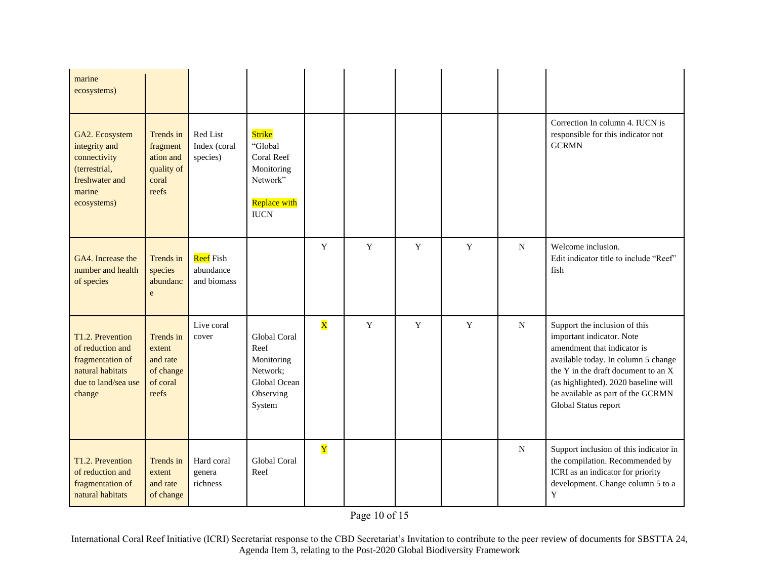| marine<br>ecosystems)                                                                                         |                                                                       |                                       |                                                                                                 |                         |             |             |   |                |                                                                                                                                                                                                                                                                              |
|---------------------------------------------------------------------------------------------------------------|-----------------------------------------------------------------------|---------------------------------------|-------------------------------------------------------------------------------------------------|-------------------------|-------------|-------------|---|----------------|------------------------------------------------------------------------------------------------------------------------------------------------------------------------------------------------------------------------------------------------------------------------------|
| GA2. Ecosystem<br>integrity and<br>connectivity<br>(terrestrial,<br>freshwater and<br>marine<br>ecosystems)   | Trends in<br>fragment<br>ation and<br>quality of<br>coral<br>reefs    | Red List<br>Index (coral<br>species)  | Strike<br>"Global<br>Coral Reef<br>Monitoring<br>Network"<br><b>Replace with</b><br><b>IUCN</b> |                         |             |             |   |                | Correction In column 4. IUCN is<br>responsible for this indicator not<br><b>GCRMN</b>                                                                                                                                                                                        |
| GA4. Increase the<br>number and health<br>of species                                                          | Trends in<br>species<br>abundanc<br>$\mathbf{e}% _{t}\left( t\right)$ | Reef Fish<br>abundance<br>and biomass |                                                                                                 | Y                       | $\mathbf Y$ | $\mathbf Y$ | Y | $\overline{N}$ | Welcome inclusion.<br>Edit indicator title to include "Reef"<br>fish                                                                                                                                                                                                         |
| T1.2. Prevention<br>of reduction and<br>fragmentation of<br>natural habitats<br>due to land/sea use<br>change | Trends in<br>extent<br>and rate<br>of change<br>of coral<br>reefs     | Live coral<br>cover                   | Global Coral<br>Reef<br>Monitoring<br>Network:<br>Global Ocean<br>Observing<br>System           | $\overline{\textbf{X}}$ | $\mathbf Y$ | $\mathbf Y$ | Y | ${\bf N}$      | Support the inclusion of this<br>important indicator. Note<br>amendment that indicator is<br>available today. In column 5 change<br>the Y in the draft document to an X<br>(as highlighted). 2020 baseline will<br>be available as part of the GCRMN<br>Global Status report |
| T1.2. Prevention<br>of reduction and<br>fragmentation of<br>natural habitats                                  | Trends in<br>extent<br>and rate<br>of change                          | Hard coral<br>genera<br>richness      | <b>Global Coral</b><br>Reef                                                                     | $\overline{\textbf{Y}}$ |             |             |   | $\mathbf N$    | Support inclusion of this indicator in<br>the compilation. Recommended by<br>ICRI as an indicator for priority<br>development. Change column 5 to a<br>Y                                                                                                                     |

Page 10 of 15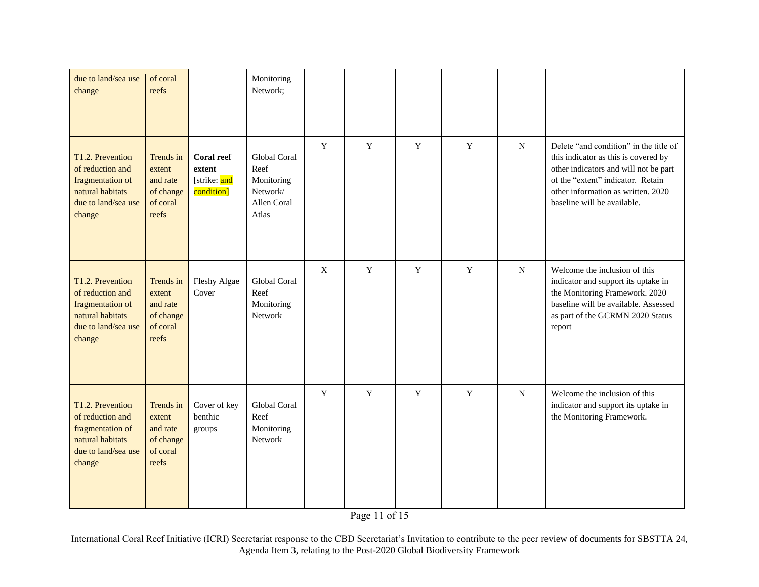| due to land/sea use<br>change                                                                                 | of coral<br>reefs                                                 |                                                           | Monitoring<br>Network;                                                 |             |             |             |             |             |                                                                                                                                                                                                                                   |
|---------------------------------------------------------------------------------------------------------------|-------------------------------------------------------------------|-----------------------------------------------------------|------------------------------------------------------------------------|-------------|-------------|-------------|-------------|-------------|-----------------------------------------------------------------------------------------------------------------------------------------------------------------------------------------------------------------------------------|
| T1.2. Prevention<br>of reduction and<br>fragmentation of<br>natural habitats<br>due to land/sea use<br>change | Trends in<br>extent<br>and rate<br>of change<br>of coral<br>reefs | <b>Coral reef</b><br>extent<br>[strike: and<br>condition] | Global Coral<br>Reef<br>Monitoring<br>Network/<br>Allen Coral<br>Atlas | $\mathbf Y$ | $\mathbf Y$ | $\mathbf Y$ | $\mathbf Y$ | ${\bf N}$   | Delete "and condition" in the title of<br>this indicator as this is covered by<br>other indicators and will not be part<br>of the "extent" indicator. Retain<br>other information as written. 2020<br>baseline will be available. |
| T1.2. Prevention<br>of reduction and<br>fragmentation of<br>natural habitats<br>due to land/sea use<br>change | Trends in<br>extent<br>and rate<br>of change<br>of coral<br>reefs | Fleshy Algae<br>Cover                                     | Global Coral<br>Reef<br>Monitoring<br>Network                          | $\mathbf X$ | Y           | $\mathbf Y$ | $\mathbf Y$ | $\mathbf N$ | Welcome the inclusion of this<br>indicator and support its uptake in<br>the Monitoring Framework. 2020<br>baseline will be available. Assessed<br>as part of the GCRMN 2020 Status<br>report                                      |
| T1.2. Prevention<br>of reduction and<br>fragmentation of<br>natural habitats<br>due to land/sea use<br>change | Trends in<br>extent<br>and rate<br>of change<br>of coral<br>reefs | Cover of key<br>benthic<br>groups                         | Global Coral<br>Reef<br>Monitoring<br>Network                          | Y           | $\mathbf Y$ | $\mathbf Y$ | $\mathbf Y$ | N           | Welcome the inclusion of this<br>indicator and support its uptake in<br>the Monitoring Framework.                                                                                                                                 |

Page 11 of 15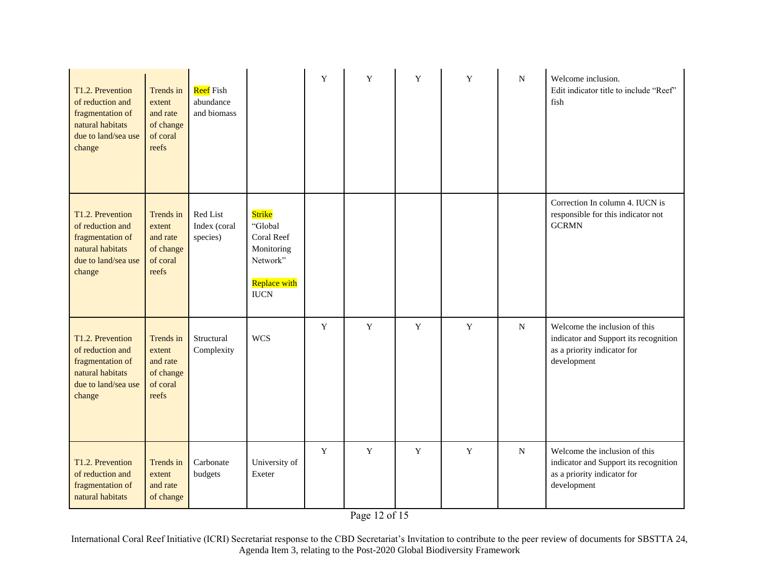| T1.2. Prevention<br>of reduction and<br>fragmentation of<br>natural habitats<br>due to land/sea use<br>change | Trends in<br>extent<br>and rate<br>of change<br>of coral<br>reefs | Reef Fish<br>abundance<br>and biomass |                                                                                                 | $\mathbf Y$ | $\mathbf Y$ | Y | Y | N         | Welcome inclusion.<br>Edit indicator title to include "Reef"<br>fish                                                 |
|---------------------------------------------------------------------------------------------------------------|-------------------------------------------------------------------|---------------------------------------|-------------------------------------------------------------------------------------------------|-------------|-------------|---|---|-----------|----------------------------------------------------------------------------------------------------------------------|
| T1.2. Prevention<br>of reduction and<br>fragmentation of<br>natural habitats<br>due to land/sea use<br>change | Trends in<br>extent<br>and rate<br>of change<br>of coral<br>reefs | Red List<br>Index (coral<br>species)  | Strike<br>"Global<br>Coral Reef<br>Monitoring<br>Network"<br><b>Replace with</b><br><b>IUCN</b> |             |             |   |   |           | Correction In column 4. IUCN is<br>responsible for this indicator not<br><b>GCRMN</b>                                |
| T1.2. Prevention<br>of reduction and<br>fragmentation of<br>natural habitats<br>due to land/sea use<br>change | Trends in<br>extent<br>and rate<br>of change<br>of coral<br>reefs | Structural<br>Complexity              | <b>WCS</b>                                                                                      | $\mathbf Y$ | $\mathbf Y$ | Y | Y | ${\bf N}$ | Welcome the inclusion of this<br>indicator and Support its recognition<br>as a priority indicator for<br>development |
| T1.2. Prevention<br>of reduction and<br>fragmentation of<br>natural habitats                                  | Trends in<br>extent<br>and rate<br>of change                      | Carbonate<br>budgets                  | University of<br>Exeter                                                                         | $\mathbf Y$ | $\mathbf Y$ | Y | Y | ${\bf N}$ | Welcome the inclusion of this<br>indicator and Support its recognition<br>as a priority indicator for<br>development |

Page 12 of 15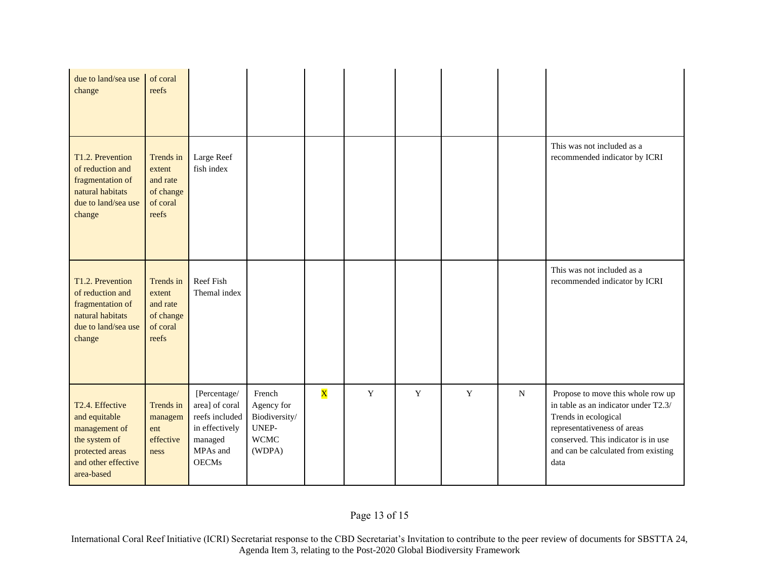| due to land/sea use<br>change                                                                                              | of coral<br>reefs                                                 |                                                                                                           |                                                                         |                         |   |   |             |           |                                                                                                                                                                                                                        |
|----------------------------------------------------------------------------------------------------------------------------|-------------------------------------------------------------------|-----------------------------------------------------------------------------------------------------------|-------------------------------------------------------------------------|-------------------------|---|---|-------------|-----------|------------------------------------------------------------------------------------------------------------------------------------------------------------------------------------------------------------------------|
| T1.2. Prevention<br>of reduction and<br>fragmentation of<br>natural habitats<br>due to land/sea use<br>change              | Trends in<br>extent<br>and rate<br>of change<br>of coral<br>reefs | Large Reef<br>fish index                                                                                  |                                                                         |                         |   |   |             |           | This was not included as a<br>recommended indicator by ICRI                                                                                                                                                            |
| T1.2. Prevention<br>of reduction and<br>fragmentation of<br>natural habitats<br>due to land/sea use<br>change              | Trends in<br>extent<br>and rate<br>of change<br>of coral<br>reefs | Reef Fish<br>Themal index                                                                                 |                                                                         |                         |   |   |             |           | This was not included as a<br>recommended indicator by ICRI                                                                                                                                                            |
| T2.4. Effective<br>and equitable<br>management of<br>the system of<br>protected areas<br>and other effective<br>area-based | Trends in<br>managem<br>ent<br>effective<br>ness                  | [Percentage/<br>area] of coral<br>reefs included<br>in effectively<br>managed<br>MPAs and<br><b>OECMs</b> | French<br>Agency for<br>Biodiversity/<br>UNEP-<br><b>WCMC</b><br>(WDPA) | $\overline{\textbf{X}}$ | Y | Y | $\mathbf Y$ | ${\bf N}$ | Propose to move this whole row up<br>in table as an indicator under T2.3/<br>Trends in ecological<br>representativeness of areas<br>conserved. This indicator is in use<br>and can be calculated from existing<br>data |

# Page 13 of 15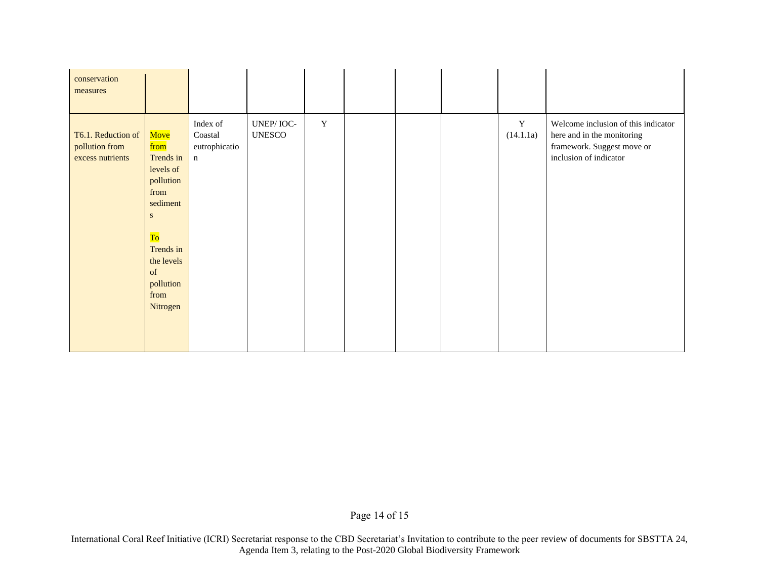| conservation<br>measures                                 |                                                                                                                                                              |                                                     |                            |             |  |                          |                                                                                                                           |
|----------------------------------------------------------|--------------------------------------------------------------------------------------------------------------------------------------------------------------|-----------------------------------------------------|----------------------------|-------------|--|--------------------------|---------------------------------------------------------------------------------------------------------------------------|
| T6.1. Reduction of<br>pollution from<br>excess nutrients | Move<br>from<br>Trends in<br>levels of<br>pollution<br>from<br>sediment<br>${\bf S}$<br>To<br>Trends in<br>the levels<br>of<br>pollution<br>from<br>Nitrogen | Index of<br>Coastal<br>eutrophicatio<br>$\mathbf n$ | UNEP/IOC-<br><b>UNESCO</b> | $\mathbf Y$ |  | $\mathbf Y$<br>(14.1.1a) | Welcome inclusion of this indicator<br>here and in the monitoring<br>framework. Suggest move or<br>inclusion of indicator |